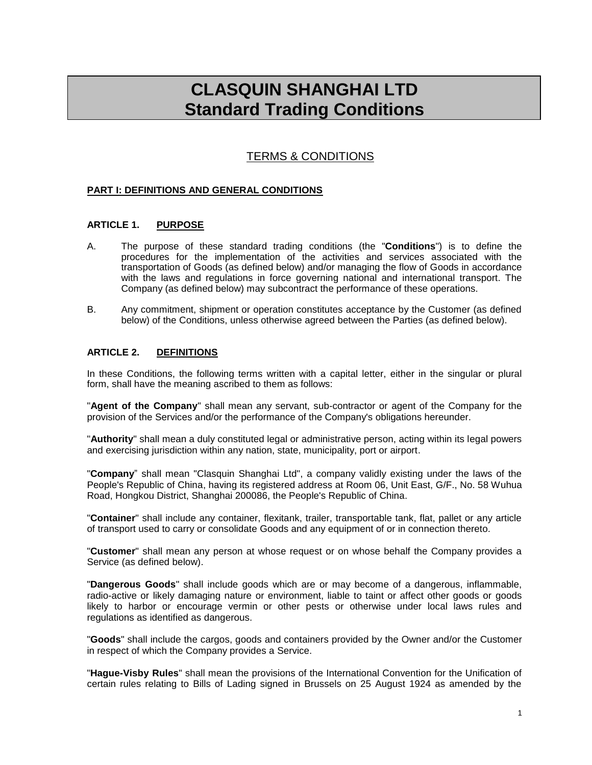# **CLASQUIN SHANGHAI LTD Standard Trading Conditions**

# TERMS & CONDITIONS

# **PART I: DEFINITIONS AND GENERAL CONDITIONS**

# **ARTICLE 1. PURPOSE**

- A. The purpose of these standard trading conditions (the "**Conditions**") is to define the procedures for the implementation of the activities and services associated with the transportation of Goods (as defined below) and/or managing the flow of Goods in accordance with the laws and regulations in force governing national and international transport. The Company (as defined below) may subcontract the performance of these operations.
- B. Any commitment, shipment or operation constitutes acceptance by the Customer (as defined below) of the Conditions, unless otherwise agreed between the Parties (as defined below).

## **ARTICLE 2. DEFINITIONS**

In these Conditions, the following terms written with a capital letter, either in the singular or plural form, shall have the meaning ascribed to them as follows:

"**Agent of the Company**" shall mean any servant, sub-contractor or agent of the Company for the provision of the Services and/or the performance of the Company's obligations hereunder.

"**Authority**" shall mean a duly constituted legal or administrative person, acting within its legal powers and exercising jurisdiction within any nation, state, municipality, port or airport.

"**Company**" shall mean "Clasquin Shanghai Ltd", a company validly existing under the laws of the People's Republic of China, having its registered address at Room 06, Unit East, G/F., No. 58 Wuhua Road, Hongkou District, Shanghai 200086, the People's Republic of China.

"**Container**" shall include any container, flexitank, trailer, transportable tank, flat, pallet or any article of transport used to carry or consolidate Goods and any equipment of or in connection thereto.

"**Customer**" shall mean any person at whose request or on whose behalf the Company provides a Service (as defined below).

"**Dangerous Goods**" shall include goods which are or may become of a dangerous, inflammable, radio-active or likely damaging nature or environment, liable to taint or affect other goods or goods likely to harbor or encourage vermin or other pests or otherwise under local laws rules and regulations as identified as dangerous.

"**Goods**" shall include the cargos, goods and containers provided by the Owner and/or the Customer in respect of which the Company provides a Service.

"**Hague-Visby Rules**" shall mean the provisions of the International Convention for the Unification of certain rules relating to Bills of Lading signed in Brussels on 25 August 1924 as amended by the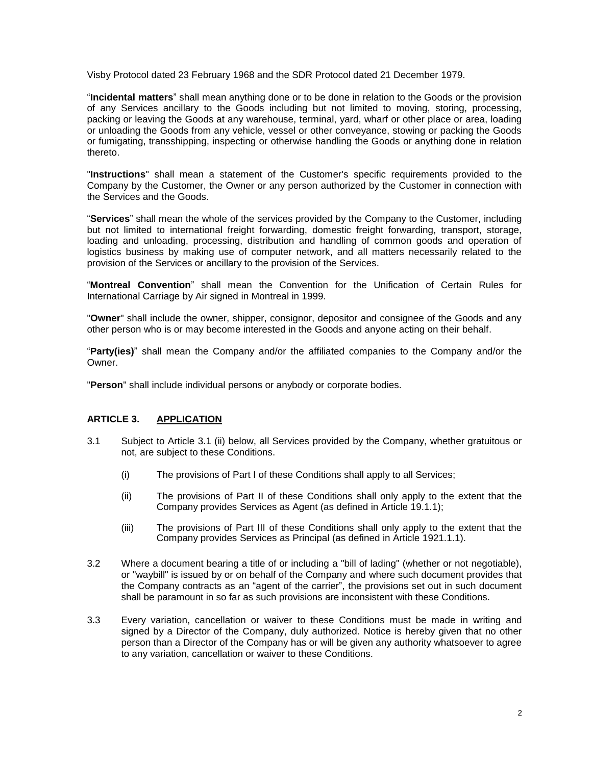Visby Protocol dated 23 February 1968 and the SDR Protocol dated 21 December 1979.

"**Incidental matters**" shall mean anything done or to be done in relation to the Goods or the provision of any Services ancillary to the Goods including but not limited to moving, storing, processing, packing or leaving the Goods at any warehouse, terminal, yard, wharf or other place or area, loading or unloading the Goods from any vehicle, vessel or other conveyance, stowing or packing the Goods or fumigating, transshipping, inspecting or otherwise handling the Goods or anything done in relation thereto.

"**Instructions**" shall mean a statement of the Customer's specific requirements provided to the Company by the Customer, the Owner or any person authorized by the Customer in connection with the Services and the Goods.

"**Services**" shall mean the whole of the services provided by the Company to the Customer, including but not limited to international freight forwarding, domestic freight forwarding, transport, storage, loading and unloading, processing, distribution and handling of common goods and operation of logistics business by making use of computer network, and all matters necessarily related to the provision of the Services or ancillary to the provision of the Services.

"**Montreal Convention**" shall mean the Convention for the Unification of Certain Rules for International Carriage by Air signed in Montreal in 1999.

"**Owner**" shall include the owner, shipper, consignor, depositor and consignee of the Goods and any other person who is or may become interested in the Goods and anyone acting on their behalf.

"**Party(ies)**" shall mean the Company and/or the affiliated companies to the Company and/or the Owner.

"**Person**" shall include individual persons or anybody or corporate bodies.

## **ARTICLE 3. APPLICATION**

- 3.1 Subject to Article 3.1 (ii) below, all Services provided by the Company, whether gratuitous or not, are subject to these Conditions.
	- (i) The provisions of Part I of these Conditions shall apply to all Services;
	- (ii) The provisions of Part II of these Conditions shall only apply to the extent that the Company provides Services as Agent (as defined in Article [19.1.](#page-12-0)1);
	- (iii) The provisions of Part III of these Conditions shall only apply to the extent that the Company provides Services as Principal (as defined in Article [1921.1.](#page-12-1)1).
- 3.2 Where a document bearing a title of or including a "bill of lading" (whether or not negotiable), or "waybill" is issued by or on behalf of the Company and where such document provides that the Company contracts as an "agent of the carrier", the provisions set out in such document shall be paramount in so far as such provisions are inconsistent with these Conditions.
- 3.3 Every variation, cancellation or waiver to these Conditions must be made in writing and signed by a Director of the Company, duly authorized. Notice is hereby given that no other person than a Director of the Company has or will be given any authority whatsoever to agree to any variation, cancellation or waiver to these Conditions.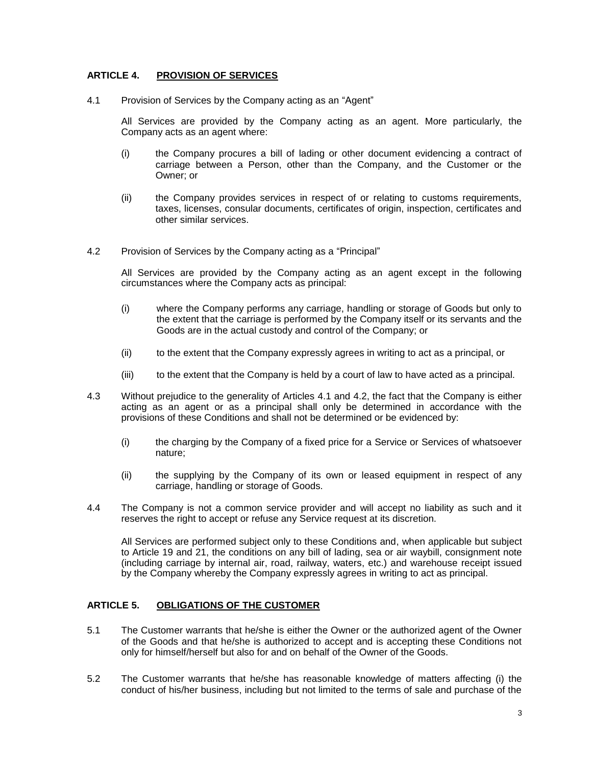# **ARTICLE 4. PROVISION OF SERVICES**

<span id="page-2-0"></span>4.1 Provision of Services by the Company acting as an "Agent"

All Services are provided by the Company acting as an agent. More particularly, the Company acts as an agent where:

- (i) the Company procures a bill of lading or other document evidencing a contract of carriage between a Person, other than the Company, and the Customer or the Owner; or
- (ii) the Company provides services in respect of or relating to customs requirements, taxes, licenses, consular documents, certificates of origin, inspection, certificates and other similar services.
- <span id="page-2-1"></span>4.2 Provision of Services by the Company acting as a "Principal"

All Services are provided by the Company acting as an agent except in the following circumstances where the Company acts as principal:

- (i) where the Company performs any carriage, handling or storage of Goods but only to the extent that the carriage is performed by the Company itself or its servants and the Goods are in the actual custody and control of the Company; or
- (ii) to the extent that the Company expressly agrees in writing to act as a principal, or
- (iii) to the extent that the Company is held by a court of law to have acted as a principal.
- 4.3 Without prejudice to the generality of Articles [4.1](#page-2-0) and [4.2,](#page-2-1) the fact that the Company is either acting as an agent or as a principal shall only be determined in accordance with the provisions of these Conditions and shall not be determined or be evidenced by:
	- (i) the charging by the Company of a fixed price for a Service or Services of whatsoever nature;
	- (ii) the supplying by the Company of its own or leased equipment in respect of any carriage, handling or storage of Goods.
- 4.4 The Company is not a common service provider and will accept no liability as such and it reserves the right to accept or refuse any Service request at its discretion.

All Services are performed subject only to these Conditions and, when applicable but subject to Article 19 and 21, the conditions on any bill of lading, sea or air waybill, consignment note (including carriage by internal air, road, railway, waters, etc.) and warehouse receipt issued by the Company whereby the Company expressly agrees in writing to act as principal.

# **ARTICLE 5. OBLIGATIONS OF THE CUSTOMER**

- 5.1 The Customer warrants that he/she is either the Owner or the authorized agent of the Owner of the Goods and that he/she is authorized to accept and is accepting these Conditions not only for himself/herself but also for and on behalf of the Owner of the Goods.
- 5.2 The Customer warrants that he/she has reasonable knowledge of matters affecting (i) the conduct of his/her business, including but not limited to the terms of sale and purchase of the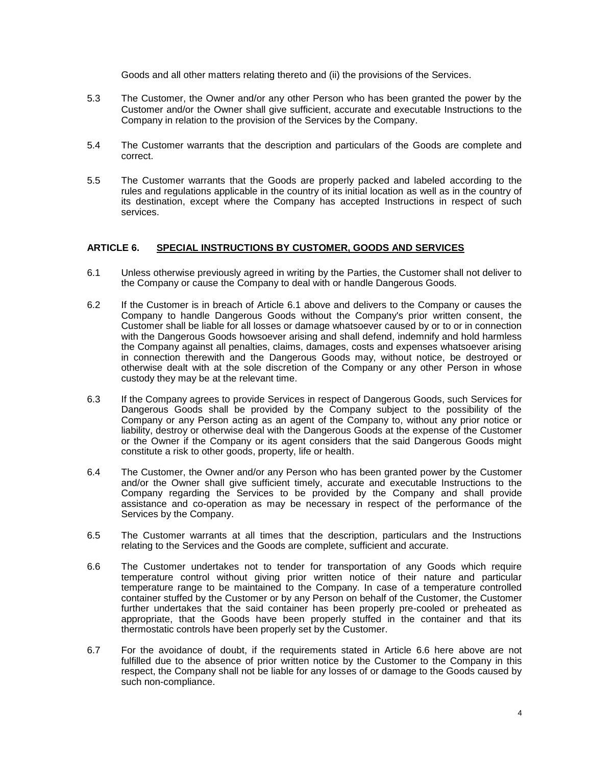Goods and all other matters relating thereto and (ii) the provisions of the Services.

- 5.3 The Customer, the Owner and/or any other Person who has been granted the power by the Customer and/or the Owner shall give sufficient, accurate and executable Instructions to the Company in relation to the provision of the Services by the Company.
- 5.4 The Customer warrants that the description and particulars of the Goods are complete and correct.
- 5.5 The Customer warrants that the Goods are properly packed and labeled according to the rules and regulations applicable in the country of its initial location as well as in the country of its destination, except where the Company has accepted Instructions in respect of such services.

## **ARTICLE 6. SPECIAL INSTRUCTIONS BY CUSTOMER, GOODS AND SERVICES**

- <span id="page-3-0"></span>6.1 Unless otherwise previously agreed in writing by the Parties, the Customer shall not deliver to the Company or cause the Company to deal with or handle Dangerous Goods.
- 6.2 If the Customer is in breach of Article [6.1](#page-3-0) above and delivers to the Company or causes the Company to handle Dangerous Goods without the Company's prior written consent, the Customer shall be liable for all losses or damage whatsoever caused by or to or in connection with the Dangerous Goods howsoever arising and shall defend, indemnify and hold harmless the Company against all penalties, claims, damages, costs and expenses whatsoever arising in connection therewith and the Dangerous Goods may, without notice, be destroyed or otherwise dealt with at the sole discretion of the Company or any other Person in whose custody they may be at the relevant time.
- 6.3 If the Company agrees to provide Services in respect of Dangerous Goods, such Services for Dangerous Goods shall be provided by the Company subject to the possibility of the Company or any Person acting as an agent of the Company to, without any prior notice or liability, destroy or otherwise deal with the Dangerous Goods at the expense of the Customer or the Owner if the Company or its agent considers that the said Dangerous Goods might constitute a risk to other goods, property, life or health.
- 6.4 The Customer, the Owner and/or any Person who has been granted power by the Customer and/or the Owner shall give sufficient timely, accurate and executable Instructions to the Company regarding the Services to be provided by the Company and shall provide assistance and co-operation as may be necessary in respect of the performance of the Services by the Company.
- 6.5 The Customer warrants at all times that the description, particulars and the Instructions relating to the Services and the Goods are complete, sufficient and accurate.
- <span id="page-3-1"></span>6.6 The Customer undertakes not to tender for transportation of any Goods which require temperature control without giving prior written notice of their nature and particular temperature range to be maintained to the Company. In case of a temperature controlled container stuffed by the Customer or by any Person on behalf of the Customer, the Customer further undertakes that the said container has been properly pre-cooled or preheated as appropriate, that the Goods have been properly stuffed in the container and that its thermostatic controls have been properly set by the Customer.
- 6.7 For the avoidance of doubt, if the requirements stated in Article [6.6](#page-3-1) here above are not fulfilled due to the absence of prior written notice by the Customer to the Company in this respect, the Company shall not be liable for any losses of or damage to the Goods caused by such non-compliance.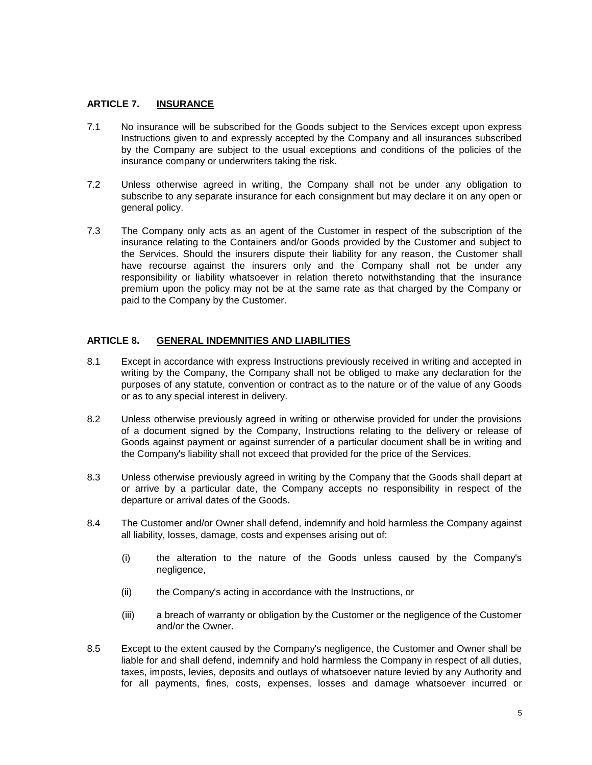# **ARTICLE 7. INSURANCE**

- 7.1 No insurance will be subscribed for the Goods subject to the Services except upon express Instructions given to and expressly accepted by the Company and all insurances subscribed by the Company are subject to the usual exceptions and conditions of the policies of the insurance company or underwriters taking the risk.
- 7.2 Unless otherwise agreed in writing, the Company shall not be under any obligation to subscribe to any separate insurance for each consignment but may declare it on any open or general policy.
- 7.3 The Company only acts as an agent of the Customer in respect of the subscription of the insurance relating to the Containers and/or Goods provided by the Customer and subject to the Services. Should the insurers dispute their liability for any reason, the Customer shall have recourse against the insurers only and the Company shall not be under any responsibility or liability whatsoever in relation thereto notwithstanding that the insurance premium upon the policy may not be at the same rate as that charged by the Company or paid to the Company by the Customer.

# **ARTICLE 8. GENERAL INDEMNITIES AND LIABILITIES**

- 8.1 Except in accordance with express Instructions previously received in writing and accepted in writing by the Company, the Company shall not be obliged to make any declaration for the purposes of any statute, convention or contract as to the nature or of the value of any Goods or as to any special interest in delivery.
- 8.2 Unless otherwise previously agreed in writing or otherwise provided for under the provisions of a document signed by the Company, Instructions relating to the delivery or release of Goods against payment or against surrender of a particular document shall be in writing and the Company's liability shall not exceed that provided for the price of the Services.
- <span id="page-4-0"></span>8.3 Unless otherwise previously agreed in writing by the Company that the Goods shall depart at or arrive by a particular date, the Company accepts no responsibility in respect of the departure or arrival dates of the Goods.
- 8.4 The Customer and/or Owner shall defend, indemnify and hold harmless the Company against all liability, losses, damage, costs and expenses arising out of:
	- (i) the alteration to the nature of the Goods unless caused by the Company's negligence,
	- (ii) the Company's acting in accordance with the Instructions, or
	- (iii) a breach of warranty or obligation by the Customer or the negligence of the Customer and/or the Owner.
- 8.5 Except to the extent caused by the Company's negligence, the Customer and Owner shall be liable for and shall defend, indemnify and hold harmless the Company in respect of all duties, taxes, imposts, levies, deposits and outlays of whatsoever nature levied by any Authority and for all payments, fines, costs, expenses, losses and damage whatsoever incurred or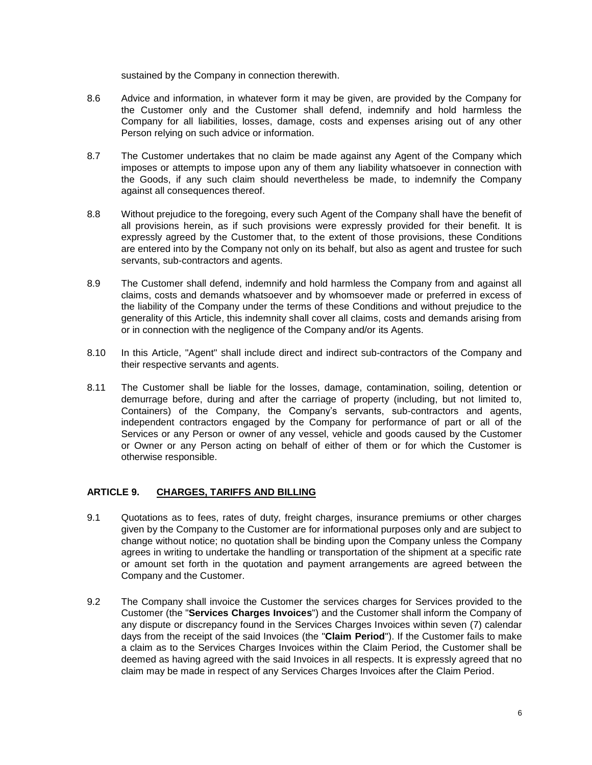sustained by the Company in connection therewith.

- 8.6 Advice and information, in whatever form it may be given, are provided by the Company for the Customer only and the Customer shall defend, indemnify and hold harmless the Company for all liabilities, losses, damage, costs and expenses arising out of any other Person relying on such advice or information.
- 8.7 The Customer undertakes that no claim be made against any Agent of the Company which imposes or attempts to impose upon any of them any liability whatsoever in connection with the Goods, if any such claim should nevertheless be made, to indemnify the Company against all consequences thereof.
- 8.8 Without prejudice to the foregoing, every such Agent of the Company shall have the benefit of all provisions herein, as if such provisions were expressly provided for their benefit. It is expressly agreed by the Customer that, to the extent of those provisions, these Conditions are entered into by the Company not only on its behalf, but also as agent and trustee for such servants, sub-contractors and agents.
- 8.9 The Customer shall defend, indemnify and hold harmless the Company from and against all claims, costs and demands whatsoever and by whomsoever made or preferred in excess of the liability of the Company under the terms of these Conditions and without prejudice to the generality of this Article, this indemnity shall cover all claims, costs and demands arising from or in connection with the negligence of the Company and/or its Agents.
- 8.10 In this Article, "Agent" shall include direct and indirect sub-contractors of the Company and their respective servants and agents.
- 8.11 The Customer shall be liable for the losses, damage, contamination, soiling, detention or demurrage before, during and after the carriage of property (including, but not limited to, Containers) of the Company, the Company's servants, sub-contractors and agents, independent contractors engaged by the Company for performance of part or all of the Services or any Person or owner of any vessel, vehicle and goods caused by the Customer or Owner or any Person acting on behalf of either of them or for which the Customer is otherwise responsible.

# **ARTICLE 9. CHARGES, TARIFFS AND BILLING**

- 9.1 Quotations as to fees, rates of duty, freight charges, insurance premiums or other charges given by the Company to the Customer are for informational purposes only and are subject to change without notice; no quotation shall be binding upon the Company unless the Company agrees in writing to undertake the handling or transportation of the shipment at a specific rate or amount set forth in the quotation and payment arrangements are agreed between the Company and the Customer.
- 9.2 The Company shall invoice the Customer the services charges for Services provided to the Customer (the "**Services Charges Invoices**") and the Customer shall inform the Company of any dispute or discrepancy found in the Services Charges Invoices within seven (7) calendar days from the receipt of the said Invoices (the "**Claim Period**"). If the Customer fails to make a claim as to the Services Charges Invoices within the Claim Period, the Customer shall be deemed as having agreed with the said Invoices in all respects. It is expressly agreed that no claim may be made in respect of any Services Charges Invoices after the Claim Period.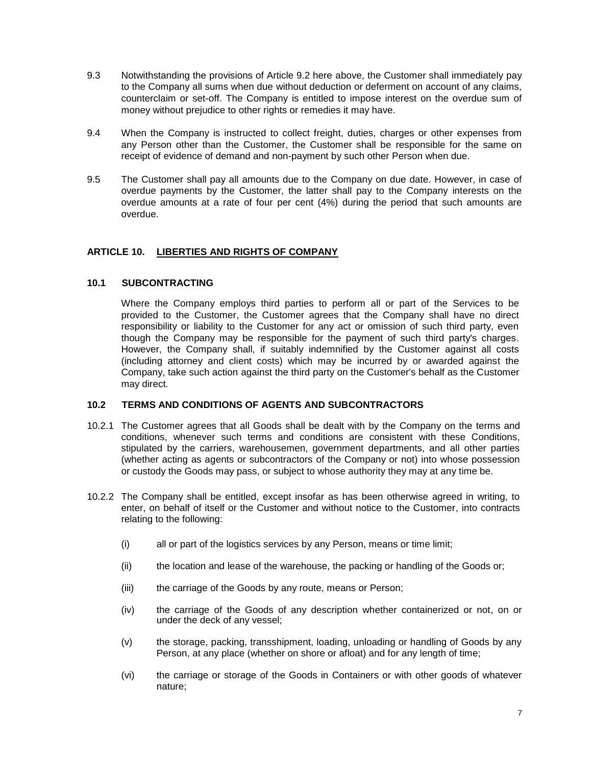- 9.3 Notwithstanding the provisions of Article 9.2 here above, the Customer shall immediately pay to the Company all sums when due without deduction or deferment on account of any claims, counterclaim or set-off. The Company is entitled to impose interest on the overdue sum of money without prejudice to other rights or remedies it may have.
- 9.4 When the Company is instructed to collect freight, duties, charges or other expenses from any Person other than the Customer, the Customer shall be responsible for the same on receipt of evidence of demand and non-payment by such other Person when due.
- 9.5 The Customer shall pay all amounts due to the Company on due date. However, in case of overdue payments by the Customer, the latter shall pay to the Company interests on the overdue amounts at a rate of four per cent (4%) during the period that such amounts are overdue.

# **ARTICLE 10. LIBERTIES AND RIGHTS OF COMPANY**

# **10.1 SUBCONTRACTING**

Where the Company employs third parties to perform all or part of the Services to be provided to the Customer, the Customer agrees that the Company shall have no direct responsibility or liability to the Customer for any act or omission of such third party, even though the Company may be responsible for the payment of such third party's charges. However, the Company shall, if suitably indemnified by the Customer against all costs (including attorney and client costs) which may be incurred by or awarded against the Company, take such action against the third party on the Customer's behalf as the Customer may direct.

# **10.2 TERMS AND CONDITIONS OF AGENTS AND SUBCONTRACTORS**

- 10.2.1 The Customer agrees that all Goods shall be dealt with by the Company on the terms and conditions, whenever such terms and conditions are consistent with these Conditions, stipulated by the carriers, warehousemen, government departments, and all other parties (whether acting as agents or subcontractors of the Company or not) into whose possession or custody the Goods may pass, or subject to whose authority they may at any time be.
- 10.2.2 The Company shall be entitled, except insofar as has been otherwise agreed in writing, to enter, on behalf of itself or the Customer and without notice to the Customer, into contracts relating to the following:
	- (i) all or part of the logistics services by any Person, means or time limit;
	- (ii) the location and lease of the warehouse, the packing or handling of the Goods or;
	- (iii) the carriage of the Goods by any route, means or Person;
	- (iv) the carriage of the Goods of any description whether containerized or not, on or under the deck of any vessel;
	- (v) the storage, packing, transshipment, loading, unloading or handling of Goods by any Person, at any place (whether on shore or afloat) and for any length of time;
	- (vi) the carriage or storage of the Goods in Containers or with other goods of whatever nature;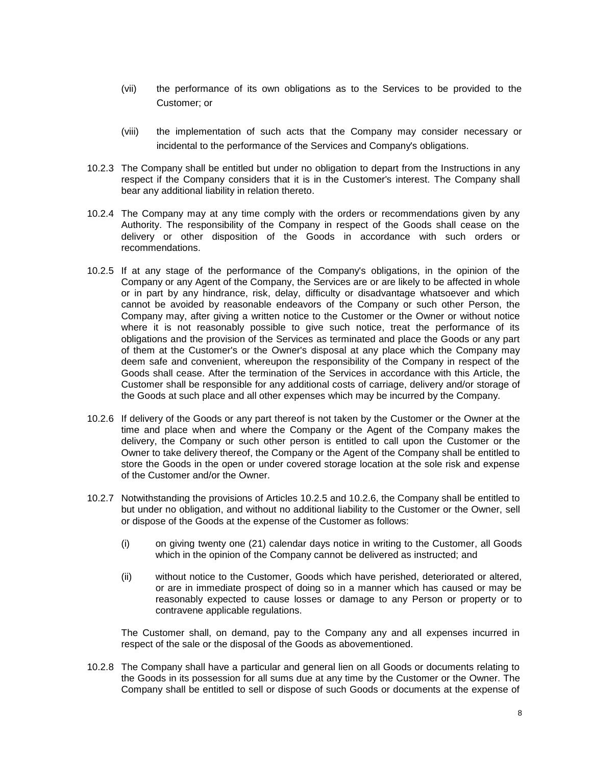- (vii) the performance of its own obligations as to the Services to be provided to the Customer; or
- (viii) the implementation of such acts that the Company may consider necessary or incidental to the performance of the Services and Company's obligations.
- 10.2.3 The Company shall be entitled but under no obligation to depart from the Instructions in any respect if the Company considers that it is in the Customer's interest. The Company shall bear any additional liability in relation thereto.
- 10.2.4 The Company may at any time comply with the orders or recommendations given by any Authority. The responsibility of the Company in respect of the Goods shall cease on the delivery or other disposition of the Goods in accordance with such orders or recommendations.
- <span id="page-7-0"></span>10.2.5 If at any stage of the performance of the Company's obligations, in the opinion of the Company or any Agent of the Company, the Services are or are likely to be affected in whole or in part by any hindrance, risk, delay, difficulty or disadvantage whatsoever and which cannot be avoided by reasonable endeavors of the Company or such other Person, the Company may, after giving a written notice to the Customer or the Owner or without notice where it is not reasonably possible to give such notice, treat the performance of its obligations and the provision of the Services as terminated and place the Goods or any part of them at the Customer's or the Owner's disposal at any place which the Company may deem safe and convenient, whereupon the responsibility of the Company in respect of the Goods shall cease. After the termination of the Services in accordance with this Article, the Customer shall be responsible for any additional costs of carriage, delivery and/or storage of the Goods at such place and all other expenses which may be incurred by the Company.
- <span id="page-7-1"></span>10.2.6 If delivery of the Goods or any part thereof is not taken by the Customer or the Owner at the time and place when and where the Company or the Agent of the Company makes the delivery, the Company or such other person is entitled to call upon the Customer or the Owner to take delivery thereof, the Company or the Agent of the Company shall be entitled to store the Goods in the open or under covered storage location at the sole risk and expense of the Customer and/or the Owner.
- 10.2.7 Notwithstanding the provisions of Articles [10.2.5](#page-7-0) and [10.2.6,](#page-7-1) the Company shall be entitled to but under no obligation, and without no additional liability to the Customer or the Owner, sell or dispose of the Goods at the expense of the Customer as follows:
	- (i) on giving twenty one (21) calendar days notice in writing to the Customer, all Goods which in the opinion of the Company cannot be delivered as instructed; and
	- (ii) without notice to the Customer, Goods which have perished, deteriorated or altered, or are in immediate prospect of doing so in a manner which has caused or may be reasonably expected to cause losses or damage to any Person or property or to contravene applicable regulations.

The Customer shall, on demand, pay to the Company any and all expenses incurred in respect of the sale or the disposal of the Goods as abovementioned.

10.2.8 The Company shall have a particular and general lien on all Goods or documents relating to the Goods in its possession for all sums due at any time by the Customer or the Owner. The Company shall be entitled to sell or dispose of such Goods or documents at the expense of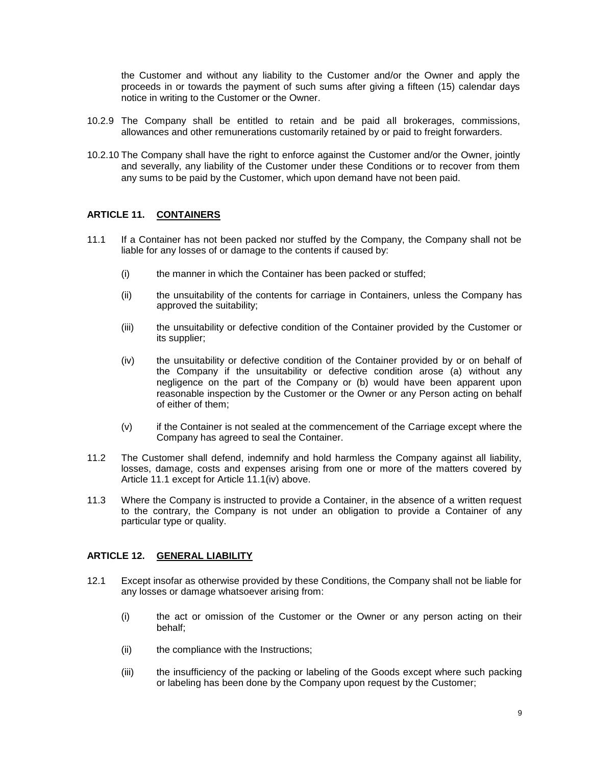the Customer and without any liability to the Customer and/or the Owner and apply the proceeds in or towards the payment of such sums after giving a fifteen (15) calendar days notice in writing to the Customer or the Owner.

- 10.2.9 The Company shall be entitled to retain and be paid all brokerages, commissions, allowances and other remunerations customarily retained by or paid to freight forwarders.
- 10.2.10 The Company shall have the right to enforce against the Customer and/or the Owner, jointly and severally, any liability of the Customer under these Conditions or to recover from them any sums to be paid by the Customer, which upon demand have not been paid.

# **ARTICLE 11. CONTAINERS**

- <span id="page-8-0"></span>11.1 If a Container has not been packed nor stuffed by the Company, the Company shall not be liable for any losses of or damage to the contents if caused by:
	- (i) the manner in which the Container has been packed or stuffed;
	- (ii) the unsuitability of the contents for carriage in Containers, unless the Company has approved the suitability;
	- (iii) the unsuitability or defective condition of the Container provided by the Customer or its supplier;
	- (iv) the unsuitability or defective condition of the Container provided by or on behalf of the Company if the unsuitability or defective condition arose (a) without any negligence on the part of the Company or (b) would have been apparent upon reasonable inspection by the Customer or the Owner or any Person acting on behalf of either of them;
	- (v) if the Container is not sealed at the commencement of the Carriage except where the Company has agreed to seal the Container.
- <span id="page-8-1"></span>11.2 The Customer shall defend, indemnify and hold harmless the Company against all liability, losses, damage, costs and expenses arising from one or more of the matters covered by Article [11.1](#page-8-0) except for Article [11.1](#page-8-0)[\(iv\)](#page-8-1) above.
- 11.3 Where the Company is instructed to provide a Container, in the absence of a written request to the contrary, the Company is not under an obligation to provide a Container of any particular type or quality.

# **ARTICLE 12. GENERAL LIABILITY**

- 12.1 Except insofar as otherwise provided by these Conditions, the Company shall not be liable for any losses or damage whatsoever arising from:
	- (i) the act or omission of the Customer or the Owner or any person acting on their behalf;
	- (ii) the compliance with the Instructions;
	- (iii) the insufficiency of the packing or labeling of the Goods except where such packing or labeling has been done by the Company upon request by the Customer;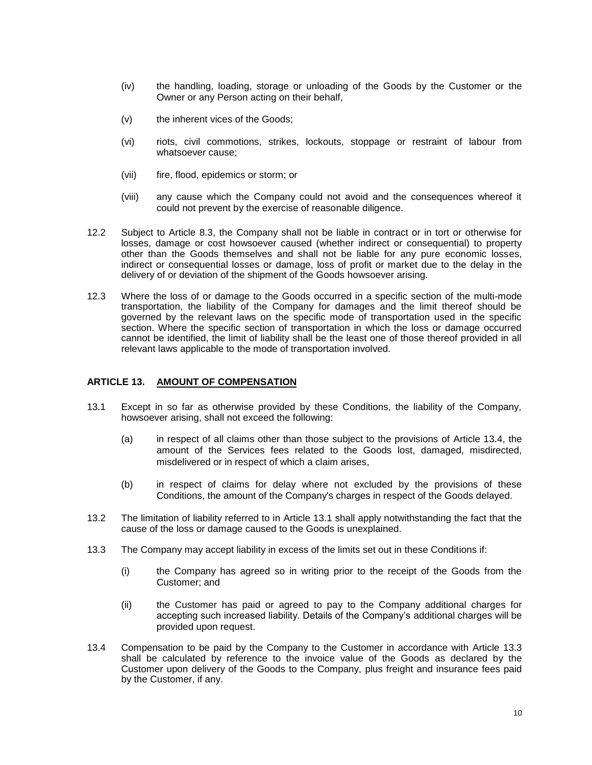- (iv) the handling, loading, storage or unloading of the Goods by the Customer or the Owner or any Person acting on their behalf,
- (v) the inherent vices of the Goods;
- (vi) riots, civil commotions, strikes, lockouts, stoppage or restraint of labour from whatsoever cause;
- (vii) fire, flood, epidemics or storm; or
- (viii) any cause which the Company could not avoid and the consequences whereof it could not prevent by the exercise of reasonable diligence.
- 12.2 Subject to Article [8.3,](#page-4-0) the Company shall not be liable in contract or in tort or otherwise for losses, damage or cost howsoever caused (whether indirect or consequential) to property other than the Goods themselves and shall not be liable for any pure economic losses, indirect or consequential losses or damage, loss of profit or market due to the delay in the delivery of or deviation of the shipment of the Goods howsoever arising.
- 12.3 Where the loss of or damage to the Goods occurred in a specific section of the multi-mode transportation, the liability of the Company for damages and the limit thereof should be governed by the relevant laws on the specific mode of transportation used in the specific section. Where the specific section of transportation in which the loss or damage occurred cannot be identified, the limit of liability shall be the least one of those thereof provided in all relevant laws applicable to the mode of transportation involved.

# **ARTICLE 13. AMOUNT OF COMPENSATION**

- <span id="page-9-1"></span>13.1 Except in so far as otherwise provided by these Conditions, the liability of the Company, howsoever arising, shall not exceed the following:
	- (a) in respect of all claims other than those subject to the provisions of Article [13.4,](#page-9-0) the amount of the Services fees related to the Goods lost, damaged, misdirected, misdelivered or in respect of which a claim arises,
	- (b) in respect of claims for delay where not excluded by the provisions of these Conditions, the amount of the Company's charges in respect of the Goods delayed.
- 13.2 The limitation of liability referred to in Article [13.1](#page-9-1) shall apply notwithstanding the fact that the cause of the loss or damage caused to the Goods is unexplained.
- 13.3 The Company may accept liability in excess of the limits set out in these Conditions if:
	- (i) the Company has agreed so in writing prior to the receipt of the Goods from the Customer; and
	- (ii) the Customer has paid or agreed to pay to the Company additional charges for accepting such increased liability. Details of the Company's additional charges will be provided upon request.
- <span id="page-9-0"></span>13.4 Compensation to be paid by the Company to the Customer in accordance with Article 13.3 shall be calculated by reference to the invoice value of the Goods as declared by the Customer upon delivery of the Goods to the Company, plus freight and insurance fees paid by the Customer, if any.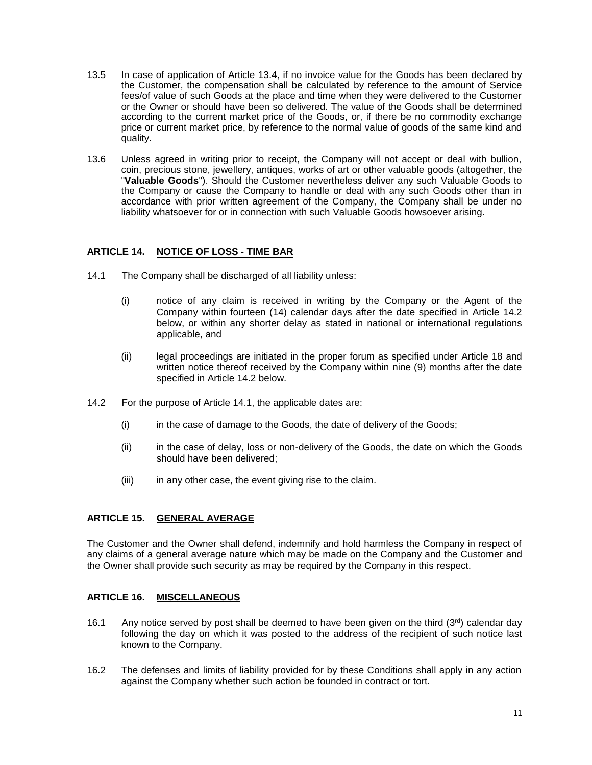- 13.5 In case of application of Article 13.4, if no invoice value for the Goods has been declared by the Customer, the compensation shall be calculated by reference to the amount of Service fees/of value of such Goods at the place and time when they were delivered to the Customer or the Owner or should have been so delivered. The value of the Goods shall be determined according to the current market price of the Goods, or, if there be no commodity exchange price or current market price, by reference to the normal value of goods of the same kind and quality.
- 13.6 Unless agreed in writing prior to receipt, the Company will not accept or deal with bullion, coin, precious stone, jewellery, antiques, works of art or other valuable goods (altogether, the "**Valuable Goods**"). Should the Customer nevertheless deliver any such Valuable Goods to the Company or cause the Company to handle or deal with any such Goods other than in accordance with prior written agreement of the Company, the Company shall be under no liability whatsoever for or in connection with such Valuable Goods howsoever arising.

# **ARTICLE 14. NOTICE OF LOSS - TIME BAR**

- <span id="page-10-1"></span>14.1 The Company shall be discharged of all liability unless:
	- (i) notice of any claim is received in writing by the Company or the Agent of the Company within fourteen (14) calendar days after the date specified in Article [14.2](#page-10-0) below, or within any shorter delay as stated in national or international regulations applicable, and
	- (ii) legal proceedings are initiated in the proper forum as specified under Article 18 and written notice thereof received by the Company within nine (9) months after the date specified in Article [14.2](#page-10-0) below.
- <span id="page-10-0"></span>14.2 For the purpose of Article [14.1,](#page-10-1) the applicable dates are:
	- (i) in the case of damage to the Goods, the date of delivery of the Goods;
	- (ii) in the case of delay, loss or non-delivery of the Goods, the date on which the Goods should have been delivered;
	- (iii) in any other case, the event giving rise to the claim.

## **ARTICLE 15. GENERAL AVERAGE**

The Customer and the Owner shall defend, indemnify and hold harmless the Company in respect of any claims of a general average nature which may be made on the Company and the Customer and the Owner shall provide such security as may be required by the Company in this respect.

## **ARTICLE 16. MISCELLANEOUS**

- 16.1 Any notice served by post shall be deemed to have been given on the third  $(3<sup>rd</sup>)$  calendar day following the day on which it was posted to the address of the recipient of such notice last known to the Company.
- 16.2 The defenses and limits of liability provided for by these Conditions shall apply in any action against the Company whether such action be founded in contract or tort.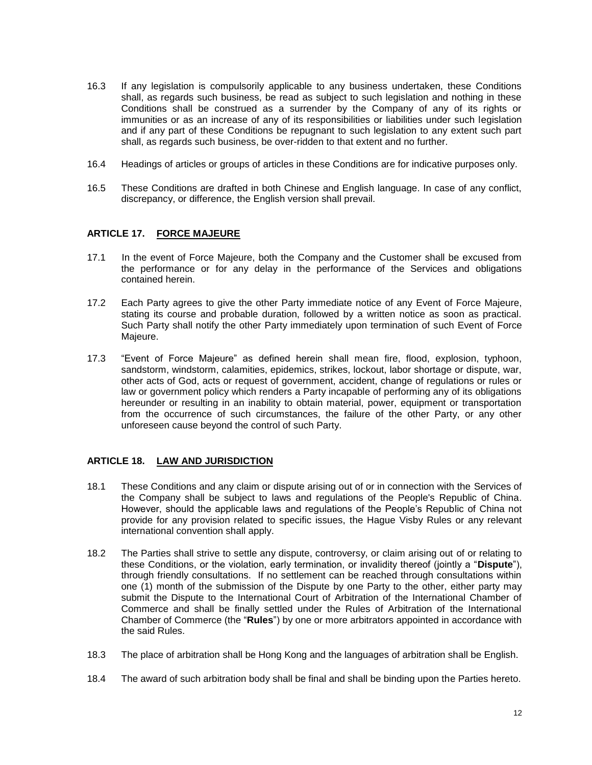- 16.3 If any legislation is compulsorily applicable to any business undertaken, these Conditions shall, as regards such business, be read as subject to such legislation and nothing in these Conditions shall be construed as a surrender by the Company of any of its rights or immunities or as an increase of any of its responsibilities or liabilities under such legislation and if any part of these Conditions be repugnant to such legislation to any extent such part shall, as regards such business, be over-ridden to that extent and no further.
- 16.4 Headings of articles or groups of articles in these Conditions are for indicative purposes only.
- 16.5 These Conditions are drafted in both Chinese and English language. In case of any conflict, discrepancy, or difference, the English version shall prevail.

# **ARTICLE 17. FORCE MAJEURE**

- 17.1 In the event of Force Majeure, both the Company and the Customer shall be excused from the performance or for any delay in the performance of the Services and obligations contained herein.
- 17.2 Each Party agrees to give the other Party immediate notice of any Event of Force Majeure, stating its course and probable duration, followed by a written notice as soon as practical. Such Party shall notify the other Party immediately upon termination of such Event of Force Majeure.
- 17.3 "Event of Force Majeure" as defined herein shall mean fire, flood, explosion, typhoon, sandstorm, windstorm, calamities, epidemics, strikes, lockout, labor shortage or dispute, war, other acts of God, acts or request of government, accident, change of regulations or rules or law or government policy which renders a Party incapable of performing any of its obligations hereunder or resulting in an inability to obtain material, power, equipment or transportation from the occurrence of such circumstances, the failure of the other Party, or any other unforeseen cause beyond the control of such Party.

## **ARTICLE 18. LAW AND JURISDICTION**

- 18.1 These Conditions and any claim or dispute arising out of or in connection with the Services of the Company shall be subject to laws and regulations of the People's Republic of China. However, should the applicable laws and regulations of the People's Republic of China not provide for any provision related to specific issues, the Hague Visby Rules or any relevant international convention shall apply.
- 18.2 The Parties shall strive to settle any dispute, controversy, or claim arising out of or relating to these Conditions, or the violation, early termination, or invalidity thereof (jointly a "**Dispute**"), through friendly consultations. If no settlement can be reached through consultations within one (1) month of the submission of the Dispute by one Party to the other, either party may submit the Dispute to the International Court of Arbitration of the International Chamber of Commerce and shall be finally settled under the Rules of Arbitration of the International Chamber of Commerce (the "**Rules**") by one or more arbitrators appointed in accordance with the said Rules.
- 18.3 The place of arbitration shall be Hong Kong and the languages of arbitration shall be English.
- 18.4 The award of such arbitration body shall be final and shall be binding upon the Parties hereto.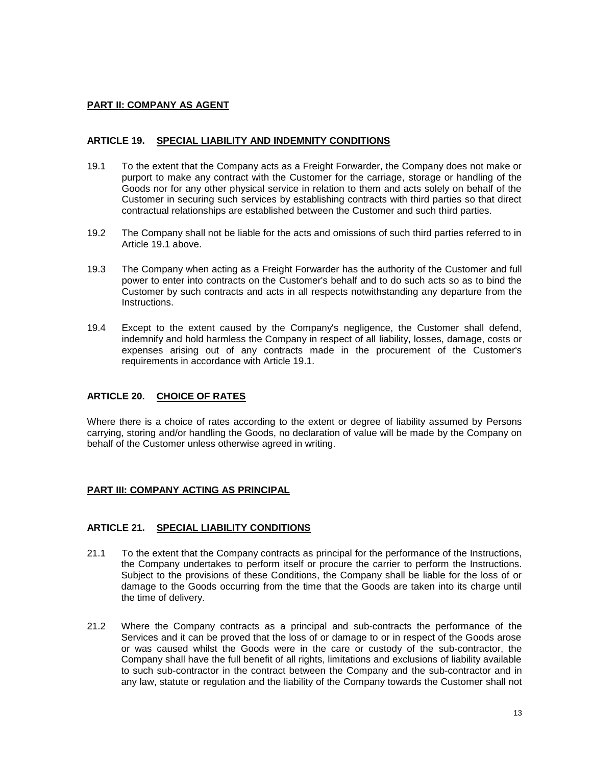# **PART II: COMPANY AS AGENT**

# **ARTICLE 19. SPECIAL LIABILITY AND INDEMNITY CONDITIONS**

- <span id="page-12-0"></span>19.1 To the extent that the Company acts as a Freight Forwarder, the Company does not make or purport to make any contract with the Customer for the carriage, storage or handling of the Goods nor for any other physical service in relation to them and acts solely on behalf of the Customer in securing such services by establishing contracts with third parties so that direct contractual relationships are established between the Customer and such third parties.
- 19.2 The Company shall not be liable for the acts and omissions of such third parties referred to in Article [19.1](#page-12-0) above.
- 19.3 The Company when acting as a Freight Forwarder has the authority of the Customer and full power to enter into contracts on the Customer's behalf and to do such acts so as to bind the Customer by such contracts and acts in all respects notwithstanding any departure from the Instructions.
- 19.4 Except to the extent caused by the Company's negligence, the Customer shall defend, indemnify and hold harmless the Company in respect of all liability, losses, damage, costs or expenses arising out of any contracts made in the procurement of the Customer's requirements in accordance with Article [19.1.](#page-12-0)

# **ARTICLE 20. CHOICE OF RATES**

Where there is a choice of rates according to the extent or degree of liability assumed by Persons carrying, storing and/or handling the Goods, no declaration of value will be made by the Company on behalf of the Customer unless otherwise agreed in writing.

## **PART III: COMPANY ACTING AS PRINCIPAL**

## **ARTICLE 21. SPECIAL LIABILITY CONDITIONS**

- <span id="page-12-1"></span>21.1 To the extent that the Company contracts as principal for the performance of the Instructions, the Company undertakes to perform itself or procure the carrier to perform the Instructions. Subject to the provisions of these Conditions, the Company shall be liable for the loss of or damage to the Goods occurring from the time that the Goods are taken into its charge until the time of delivery.
- <span id="page-12-2"></span>21.2 Where the Company contracts as a principal and sub-contracts the performance of the Services and it can be proved that the loss of or damage to or in respect of the Goods arose or was caused whilst the Goods were in the care or custody of the sub-contractor, the Company shall have the full benefit of all rights, limitations and exclusions of liability available to such sub-contractor in the contract between the Company and the sub-contractor and in any law, statute or regulation and the liability of the Company towards the Customer shall not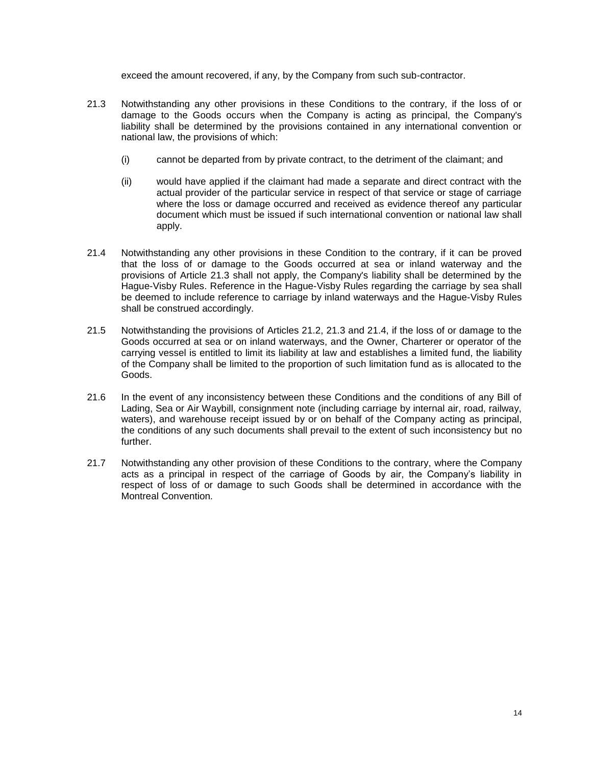exceed the amount recovered, if any, by the Company from such sub-contractor.

- <span id="page-13-0"></span>21.3 Notwithstanding any other provisions in these Conditions to the contrary, if the loss of or damage to the Goods occurs when the Company is acting as principal, the Company's liability shall be determined by the provisions contained in any international convention or national law, the provisions of which:
	- (i) cannot be departed from by private contract, to the detriment of the claimant; and
	- (ii) would have applied if the claimant had made a separate and direct contract with the actual provider of the particular service in respect of that service or stage of carriage where the loss or damage occurred and received as evidence thereof any particular document which must be issued if such international convention or national law shall apply.
- <span id="page-13-1"></span>21.4 Notwithstanding any other provisions in these Condition to the contrary, if it can be proved that the loss of or damage to the Goods occurred at sea or inland waterway and the provisions of Article [21.3](#page-13-0) shall not apply, the Company's liability shall be determined by the Hague-Visby Rules. Reference in the Hague-Visby Rules regarding the carriage by sea shall be deemed to include reference to carriage by inland waterways and the Hague-Visby Rules shall be construed accordingly.
- 21.5 Notwithstanding the provisions of Articles [21.2,](#page-12-2) [21.3](#page-13-0) and [21.4,](#page-13-1) if the loss of or damage to the Goods occurred at sea or on inland waterways, and the Owner, Charterer or operator of the carrying vessel is entitled to limit its liability at law and establishes a limited fund, the liability of the Company shall be limited to the proportion of such limitation fund as is allocated to the Goods.
- 21.6 In the event of any inconsistency between these Conditions and the conditions of any Bill of Lading, Sea or Air Waybill, consignment note (including carriage by internal air, road, railway, waters), and warehouse receipt issued by or on behalf of the Company acting as principal, the conditions of any such documents shall prevail to the extent of such inconsistency but no further.
- 21.7 Notwithstanding any other provision of these Conditions to the contrary, where the Company acts as a principal in respect of the carriage of Goods by air, the Company's liability in respect of loss of or damage to such Goods shall be determined in accordance with the Montreal Convention.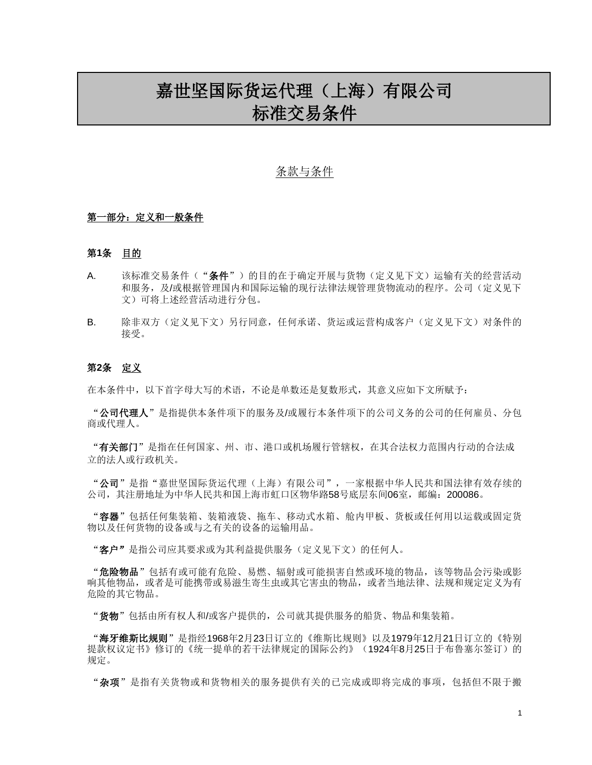# 嘉世坚国际货运代理(上海)有限公司 标准交易条件

# 条款与条件

#### 第一部分: 定义和一般条件

#### 第**1**条 目的

- A. 该标准交易条件("条件")的目的在于确定开展与货物(定义见下文)运输有关的经营活动 和服务,及/或根据管理国内和国际运输的现行法律法规管理货物流动的程序。公司(定义见下 文)可将上述经营活动进行分包。
- B. 除非双方(定义见下文)另行同意,任何承诺、货运或运营构成客户(定义见下文)对条件的 接受。

#### 第**2**条 定义

在本条件中,以下首字母大写的术语,不论是单数还是复数形式,其意义应如下文所赋予:

"公司代理人"是指提供本条件项下的服务及/或履行本条件项下的公司义务的公司的任何雇员、分包 商或代理人。

"有关部门"是指在任何国家、州、市、港口或机场履行管辖权,在其合法权力范围内行动的合法成 立的法人或行政机关。

"公司"是指"嘉世坚国际货运代理(上海)有限公司",一家根据中华人民共和国法律有效存续的 公司,其注册地址为中华人民共和国上海市虹口区物华路58号底层东间06室,邮编:200086。

"容器"包括任何集装箱、装箱液袋、拖车、移动式水箱、舱内甲板、货板或任何用以运载或固定货 物以及任何货物的设备或与之有关的设备的运输用品。

"客户"是指公司应其要求或为其利益提供服务(定义见下文)的任何人。

"危险物品"包括有或可能有危险、易燃、辐射或可能损害自然或环境的物品,该等物品会污染或影 响其他物品,或者是可能携带或易滋生寄生虫或其它害虫的物品,或者当地法律、法规和规定定义为有 危险的其它物品。

"货物"包括由所有权人和/或客户提供的,公司就其提供服务的船货、物品和集装箱。

"海牙维斯比规则"是指经1968年2月23日订立的《维斯比规则》以及1979年12月21日订立的《特别 提款权议定书》修订的《统一提单的若干法律规定的国际公约》(1924年8月25日于布鲁塞尔签订)的 规定。

"杂项"是指有关货物或和货物相关的服务提供有关的已完成或即将完成的事项,包括但不限于搬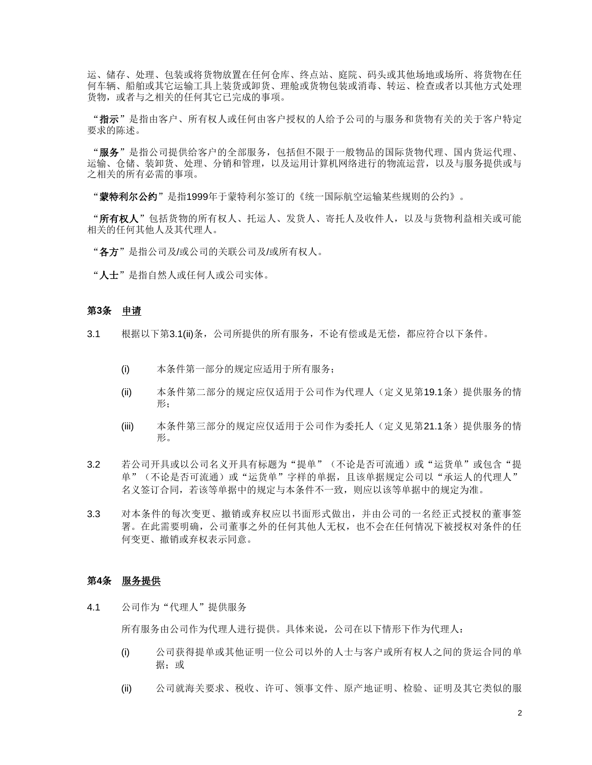运、储存、处理、包装或将货物放置在任何仓库、终点站、庭院、码头或其他场地或场所、将货物在任 何车辆、船舶或其它运输工具上装货或卸货、理舱或货物包装或消毒、转运、检查或者以其他方式处理 货物, 或者与之相关的任何其它已完成的事项。

"指示"是指由客户、所有权人或任何由客户授权的人给予公司的与服务和货物有关的关于客户特定 要求的陈述。

"服务"是指公司提供给客户的全部服务,包括但不限于一般物品的国际货物代理、国内货运代理、 运输、仓储、装卸货、处理、分销和管理,以及运用计算机网络进行的物流运营,以及与服务提供或与 之相关的所有必需的事项。

"蒙特利尔公约"是指1999年于蒙特利尔签订的《统一国际航空运输某些规则的公约》。

"所有权人"包括货物的所有权人、托运人、发货人、寄托人及收件人,以及与货物利益相关或可能 相关的任何其他人及其代理人。

"各方"是指公司及/或公司的关联公司及/或所有权人。

"人士"是指自然人或任何人或公司实体。

#### 第**3**条 申请

- <span id="page-15-0"></span>3.1 根据以下第3.[1\(ii\)](#page-15-0)条,公司所提供的所有服务,不论有偿或是无偿,都应符合以下条件。
	- (i) 本条件第一部分的规定应适用于所有服务;
	- (ii) 本条件第二部分的规定应仅适用于公司作为代理人(定义见第[19.1](#page-23-0)条)提供服务的情 形;
	- (iii) 本条件第三部分的规定应仅适用于公司作为委托人(定义见第[21.1](#page-24-0)条)提供服务的情 形。
- 3.2 若公司开具或以公司名义开具有标题为"提单"(不论是否可流通)或"运货单"或包含"提 单"(不论是否可流通)或"运货单"字样的单据,且该单据规定公司以"承运人的代理人" 名义签订合同,若该等单据中的规定与本条件不一致,则应以该等单据中的规定为准。
- 3.3 对本条件的每次变更、撤销或弃权应以书面形式做出,并由公司的一名经正式授权的董事签 署。在此需要明确,公司董事之外的任何其他人无权,也不会在任何情况下被授权对条件的任 何变更、撤销或弃权表示同意。

#### 第**4**条 服务提供

<span id="page-15-1"></span>4.1 公司作为"代理人"提供服务

所有服务由公司作为代理人进行提供。具体来说,公司在以下情形下作为代理人:

- (i) 公司获得提单或其他证明一位公司以外的人士与客户或所有权人之间的货运合同的单 据;或
- (ii) 公司就海关要求、税收、许可、领事文件、原产地证明、检验、证明及其它类似的服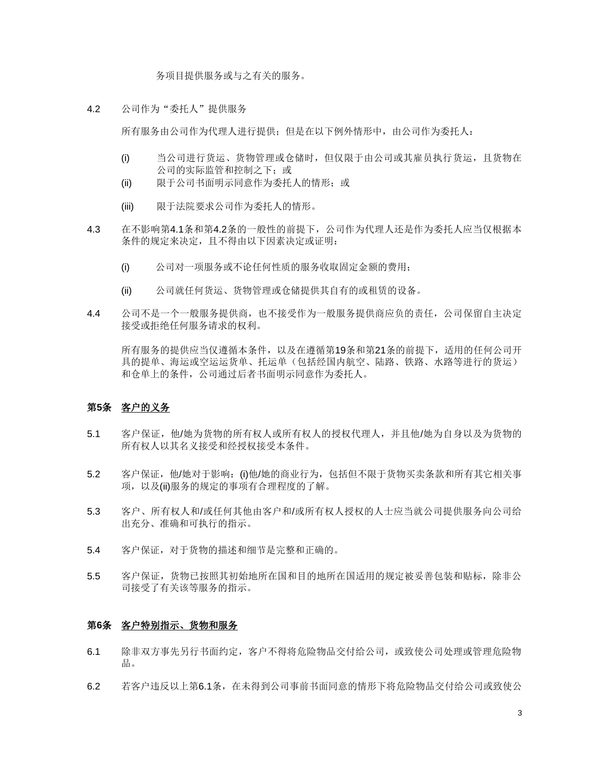务项目提供服务或与之有关的服务。

<span id="page-16-0"></span>4.2 公司作为"委托人"提供服务

所有服务由公司作为代理人进行提供;但是在以下例外情形中,由公司作为委托人:

- (i) 当公司进行货运、货物管理或仓储时, 但仅限于由公司或其雇员执行货运, 且货物在 公司的实际监管和控制之下;或
- (ii) 限于公司书面明示同意作为委托人的情形;或
- (iii) 限于法院要求公司作为委托人的情形。
- 4.3 在不影响第[4.1](#page-15-1)条和第[4.2](#page-16-0)条的一般性的前提下,公司作为代理人还是作为委托人应当仅根据本 条件的规定来决定,且不得由以下因素决定或证明:
	- (i) 公司对一项服务或不论任何性质的服务收取固定金额的费用;
	- (ii) 公司就任何货运、货物管理或仓储提供其自有的或租赁的设备。
- 4.4 公司不是一个一般服务提供商,也不接受作为一般服务提供商应负的责任,公司保留自主决定 接受或拒绝任何服务请求的权利。

所有服务的提供应当仅遵循本条件,以及在遵[循第](#page-23-1)19条和第21[条的](#page-24-1)前提下,适用的任何公司开 具的提单、海运或空运运货单、托运单(包括经国内航空、陆路、铁路、水路等进行的货运) 和仓单上的条件,公司通过后者书面明示同意作为委托人。

#### 第**5**条 客户的义务

- 5.1 客户保证,他/她为货物的所有权人或所有权人的授权代理人,并且他/她为自身以及为货物的 所有权人以其名义接受和经授权接受本条件。
- 5.2 客户保证,他/她对于影响: (i)他/她的商业行为,包括但不限于货物买卖条款和所有其它相关事 项,以及(ii)服务的规定的事项有合理程度的了解。
- 5.3 客户、所有权人和/或任何其他由客户和/或所有权人授权的人士应当就公司提供服务向公司给 出充分、准确和可执行的指示。
- 5.4 客户保证,对于货物的描述和细节是完整和正确的。
- 5.5 客户保证,货物已按照其初始地所在国和目的地所在国适用的规定被妥善包装和贴标,除非公 司接受了有关该等服务的指示。

#### 第**6**条 客户特别指示、货物和服务

- <span id="page-16-1"></span>6.1 除非双方事先另行书面约定,客户不得将危险物品交付给公司,或致使公司处理或管理危险物 品。
- 6.2 若客户违反以上第[6.1](#page-16-1)条,在未得到公司事前书面同意的情形下将危险物品交付给公司或致使公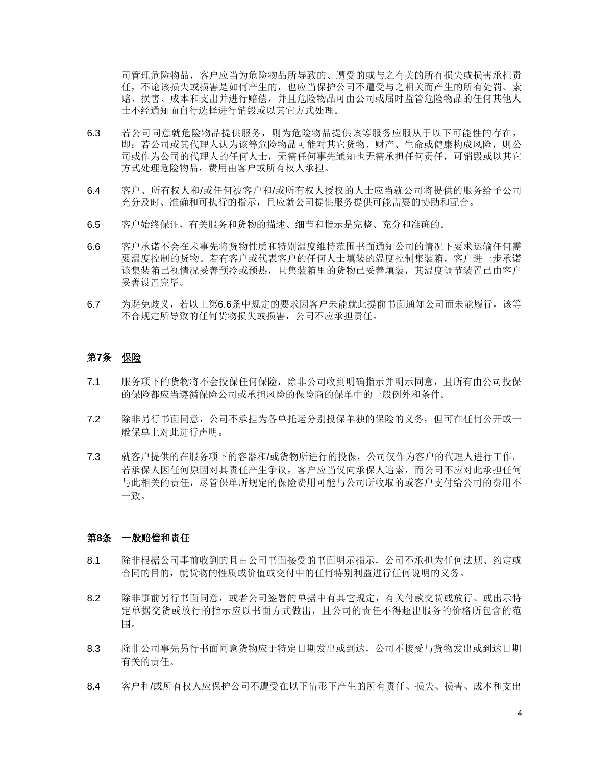司管理危险物品,客户应当为危险物品所导致的、遭受的或与之有关的所有损失或损害承担责 任,不论该损失或损害是如何产生的,也应当保护公司不遭受与之相关而产生的所有处罚、索 赔、损害、成本和支出并进行赔偿,并且危险物品可由公司或届时监管危险物品的任何其他人 士不经通知而自行选择进行销毁或以其它方式处理。

- 6.3 若公司同意就危险物品提供服务,则为危险物品提供该等服务应服从于以下可能性的存在, 即:若公司或其代理人认为该等危险物品可能对其它货物、财产、生命或健康构成风险,则公 司或作为公司的代理人的任何人士,无需任何事先通知也无需承担任何责任,可销毁或以其它 方式处理危险物品,费用由客户或所有权人承担。
- 6.4 客户、所有权人和/或任何被客户和/或所有权人授权的人士应当就公司将提供的服务给予公司 充分及时、准确和可执行的指示,且应就公司提供服务提供可能需要的协助和配合。
- 6.5 客户始终保证,有关服务和货物的描述、细节和指示是完整、充分和准确的。
- <span id="page-17-0"></span>6.6 客户承诺不会在未事先将货物性质和特别温度维持范围书面通知公司的情况下要求运输任何需 要温度控制的货物。若有客户或代表客户的任何人士填装的温度控制集装箱,客户进一步承诺 该集装箱已视情况妥善预冷或预热,且集装箱里的货物已妥善填装,其温度调节装置已由客户 妥善设置完毕。
- 6.7 为避免歧义,若以上第[6.6](#page-17-0)条中规定的要求因客户未能就此提前书面通知公司而未能履行,该等 不合规定所导致的任何货物损失或损害,公司不应承担责任。

## 第**7**条 保险

- 7.1 服务项下的货物将不会投保任何保险,除非公司收到明确指示并明示同意,且所有由公司投保 的保险都应当遵循保险公司或承担风险的保险商的保单中的一般例外和条件。
- 7.2 除非另行书面同意,公司不承担为各单托运分别投保单独的保险的义务,但可在任何公开或一 般保单上对此进行声明。
- 7.3 就客户提供的在服务项下的容器和/或货物所进行的投保,公司仅作为客户的代理人进行工作。 若承保人因任何原因对其责任产生争议,客户应当仅向承保人追索,而公司不应对此承担任何 与此相关的责任,尽管保单所规定的保险费用可能与公司所收取的或客户支付给公司的费用不 一致。

## 第**8**条 一般赔偿和责任

- 8.1 除非根据公司事前收到的且由公司书面接受的书面明示指示,公司不承担为任何法规、约定或 合同的目的,就货物的性质或价值或交付中的任何特别利益进行任何说明的义务。
- 8.2 除非事前另行书面同意,或者公司签署的单据中有其它规定,有关付款交货或放行、或出示特 定单据交货或放行的指示应以书面方式做出,且公司的责任不得超出服务的价格所包含的范 围。
- <span id="page-17-1"></span>8.3 除非公司事先另行书面同意货物应于特定日期发出或到达,公司不接受与货物发出或到达日期 有关的责任。
- 8.4 客户和/或所有权人应保护公司不遭受在以下情形下产生的所有责任、损失、损害、成本和支出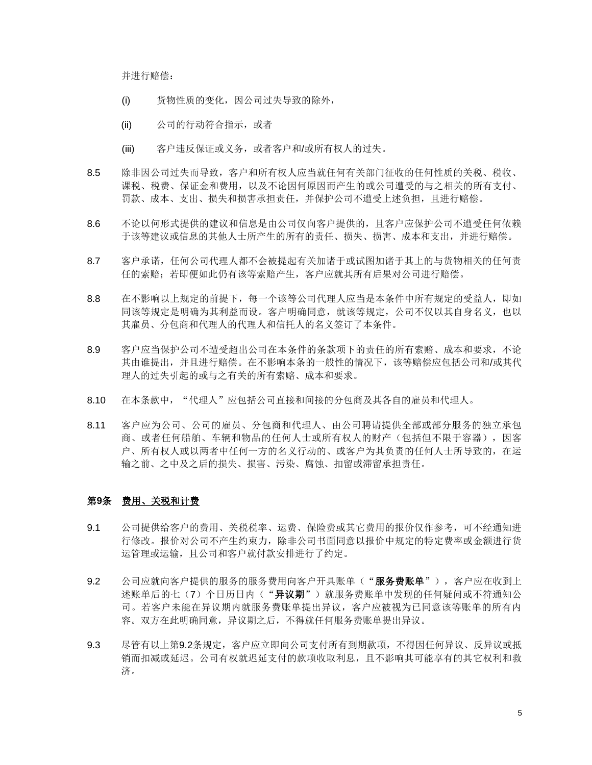并进行赔偿:

- (i) 货物性质的变化,因公司过失导致的除外,
- (ii) 公司的行动符合指示,或者
- (iii) 客户违反保证或义务,或者客户和/或所有权人的过失。
- 8.5 除非因公司过失而导致,客户和所有权人应当就任何有关部门征收的任何性质的关税、税收、 课税、税费、保证金和费用,以及不论因何原因而产生的或公司遭受的与之相关的所有支付、 罚款、成本、支出、损失和损害承担责任,并保护公司不遭受上述负担,且进行赔偿。
- 8.6 不论以何形式提供的建议和信息是由公司仅向客户提供的,且客户应保护公司不遭受任何依赖 于该等建议或信息的其他人士所产生的所有的责任、损失、损害、成本和支出,并进行赔偿。
- 8.7 客户承诺,任何公司代理人都不会被提起有关加诸于或试图加诸于其上的与货物相关的任何责 任的索赔;若即便如此仍有该等索赔产生,客户应就其所有后果对公司进行赔偿。
- 8.8 在不影响以上规定的前提下,每一个该等公司代理人应当是本条件中所有规定的受益人,即如 同该等规定是明确为其利益而设。客户明确同意,就该等规定,公司不仅以其自身名义,也以 其雇员、分包商和代理人的代理人和信托人的名义签订了本条件。
- 8.9 客户应当保护公司不遭受超出公司在本条件的条款项下的责任的所有索赔、成本和要求,不论 其由谁提出,并且进行赔偿。在不影响本条的一般性的情况下,该等赔偿应包括公司和/或其代 理人的过失引起的或与之有关的所有索赔、成本和要求。
- 8.10 在本条款中, "代理人"应包括公司直接和间接的分包商及其各自的雇员和代理人。
- 8.11 客户应为公司、公司的雇员、分包商和代理人、由公司聘请提供全部或部分服务的独立承包 商、或者任何船舶、车辆和物品的任何人士或所有权人的财产(包括但不限于容器),因客 户、所有权人或以两者中任何一方的名义行动的、或客户为其负责的任何人士所导致的,在运 输之前、之中及之后的损失、损害、污染、腐蚀、扣留或滞留承担责任。

### 第**9**条 费用、关税和计费

- 9.1 公司提供给客户的费用、关税税率、运费、保险费或其它费用的报价仅作参考,可不经通知进 行修改。报价对公司不产生约束力,除非公司书面同意以报价中规定的特定费率或金额进行货 运管理或运输,且公司和客户就付款安排进行了约定。
- <span id="page-18-0"></span>9.2 公司应就向客户提供的服务的服务费用向客户开具账单("**服务费账单**"),客户应在收到上 述账单后的七(7)个日历日内("异议期")就服务费账单中发现的任何疑问或不符通知公 司。若客户未能在异议期内就服务费账单提出异议,客户应被视为已同意该等账单的所有内 容。双方在此明确同意,异议期之后,不得就任何服务费账单提出异议。
- 9.3 尽管有以上第[9.2](#page-18-0)条规定,客户应立即向公司支付所有到期款项,不得因任何异议、反异议或抵 销而扣减或延迟。公司有权就迟延支付的款项收取利息,且不影响其可能享有的其它权利和救 济。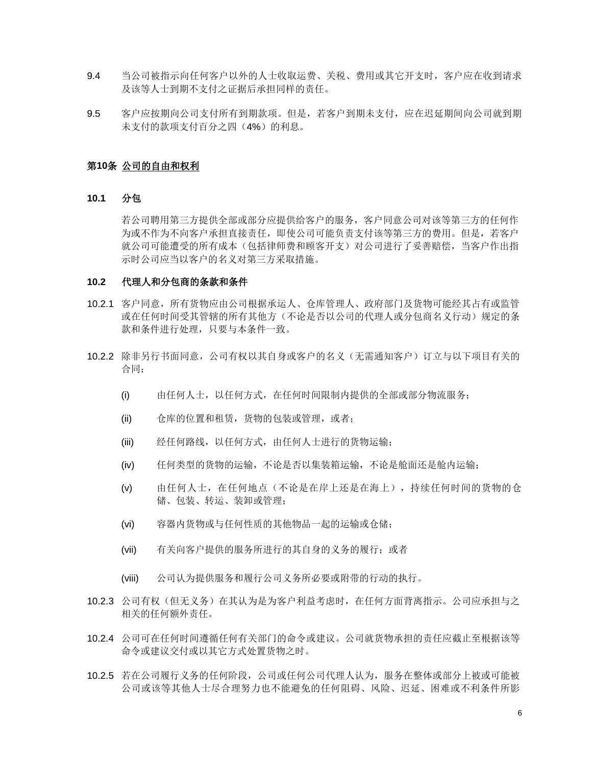- 9.4 当公司被指示向任何客户以外的人士收取运费、关税、费用或其它开支时,客户应在收到请求 及该等人士到期不支付之证据后承担同样的责任。
- 9.5 客户应按期向公司支付所有到期款项。但是,若客户到期未支付,应在迟延期间向公司就到期 未支付的款项支付百分之四(4%)的利息。

# 第**10**条 公司的自由和权利

# **10.1** 分包

若公司聘用第三方提供全部或部分应提供给客户的服务,客户同意公司对该等第三方的任何作 为或不作为不向客户承担直接责任,即使公司可能负责支付该等第三方的费用。但是,若客户 就公司可能遭受的所有成本(包括律师费和顾客开支)对公司进行了妥善赔偿,当客户作出指 示时公司应当以客户的名义对第三方采取措施。

#### **10.2** 代理人和分包商的条款和条件

- 10.2.1 客户同意,所有货物应由公司根据承运人、仓库管理人、政府部门及货物可能经其占有或监管 或在任何时间受其管辖的所有其他方(不论是否以公司的代理人或分包商名义行动)规定的条 款和条件进行处理,只要与本条件一致。
- 10.2.2 除非另行书面同意,公司有权以其自身或客户的名义(无需通知客户)订立与以下项目有关的 合同:
	- (i) 由任何人士,以任何方式,在任何时间限制内提供的全部或部分物流服务;
	- (ii) 仓库的位置和租赁,货物的包装或管理, 或者;
	- (iii) 经任何路线,以任何方式,由任何人士进行的货物运输;
	- (iv) 任何类型的货物的运输,不论是否以集装箱运输,不论是舱面还是舱内运输;
	- (v) 由任何人士,在任何地点(不论是在岸上还是在海上),持续任何时间的货物的仓 储、包装、转运、装卸或管理;
	- (vi) 容器内货物或与任何性质的其他物品一起的运输或仓储;
	- (vii) 有关向客户提供的服务所进行的其自身的义务的履行;或者
	- (viii) 公司认为提供服务和履行公司义务所必要或附带的行动的执行。
- 10.2.3 公司有权(但无义务)在其认为是为客户利益考虑时,在任何方面背离指示。公司应承担与之 相关的任何额外责任。
- 10.2.4 公司可在任何时间遵循任何有关部门的命令或建议。公司就货物承担的责任应截止至根据该等 命令或建议交付或以其它方式处置货物之时。
- <span id="page-19-0"></span>10.2.5 若在公司履行义务的任何阶段,公司或任何公司代理人认为,服务在整体或部分上被或可能被 公司或该等其他人士尽合理努力也不能避免的任何阻碍、风险、迟延、困难或不利条件所影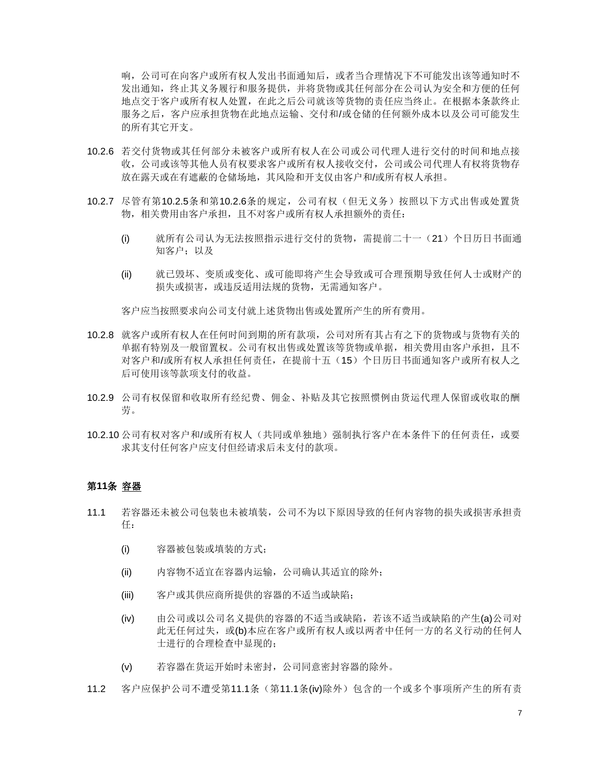响,公司可在向客户或所有权人发出书面通知后,或者当合理情况下不可能发出该等通知时不 发出通知,终止其义务履行和服务提供,并将货物或其任何部分在公司认为安全和方便的任何 地点交于客户或所有权人处置,在此之后公司就该等货物的责任应当终止。在根据本条款终止 服务之后,客户应承担货物在此地点运输、交付和/或仓储的任何额外成本以及公司可能发生 的所有其它开支。

- <span id="page-20-0"></span>10.2.6 若交付货物或其任何部分未被客户或所有权人在公司或公司代理人进行交付的时间和地点接 收,公司或该等其他人员有权要求客户或所有权人接收交付,公司或公司代理人有权将货物存 放在露天或在有遮蔽的仓储场地,其风险和开支仅由客户和/或所有权人承担。
- 10.2.7 尽管有第[10.2.5](#page-19-0)条和第[10.2.6](#page-20-0)条的规定,公司有权(但无义务)按照以下方式出售或处置货 物,相关费用由客户承担,且不对客户或所有权人承担额外的责任:
	- (i) 就所有公司认为无法按照指示进行交付的货物,需提前二十一(21)个日历日书面通 知客户;以及
	- (ii) 就已毁坏、变质或变化、或可能即将产生会导致或可合理预期导致任何人士或财产的 损失或损害,或违反适用法规的货物,无需通知客户。

客户应当按照要求向公司支付就上述货物出售或处置所产生的所有费用。

- 10.2.8 就客户或所有权人在任何时间到期的所有款项,公司对所有其占有之下的货物或与货物有关的 单据有特别及一般留置权。公司有权出售或处置该等货物或单据,相关费用由客户承担,且不 对客户和/或所有权人承担任何责任,在提前十五(15)个日历日书面通知客户或所有权人之 后可使用该等款项支付的收益。
- 10.2.9 公司有权保留和收取所有经纪费、佣金、补贴及其它按照惯例由货运代理人保留或收取的酬 劳。
- 10.2.10 公司有权对客户和/或所有权人(共同或单独地) 强制执行客户在本条件下的任何责任,或要 求其支付任何客户应支付但经请求后未支付的款项。

# 第**11**条 容器

- <span id="page-20-1"></span>11.1 若容器还未被公司包装也未被填装,公司不为以下原因导致的任何内容物的损失或损害承担责 任:
	- (i) 容器被包装或填装的方式;
	- (ii) 内容物不适宜在容器内运输,公司确认其适宜的除外;
	- (iii) 客户或其供应商所提供的容器的不适当或缺陷;
	- (iv) 由公司或以公司名义提供的容器的不适当或缺陷,若该不适当或缺陷的产生(a)公司对 此无任何过失, 或(b)本应在客户或所有权人或以两者中任何一方的名义行动的任何人 士进行的合理检查中显现的;
	- (v) 若容器在货运开始时未密封,公司同意密封容器的除外。
- <span id="page-20-2"></span>11.2 客户应保护公司不遭受第[11.1](#page-20-1)条(第11.1条[\(iv\)](#page-20-2)除外)包含的一个或多个事项所产生的所有责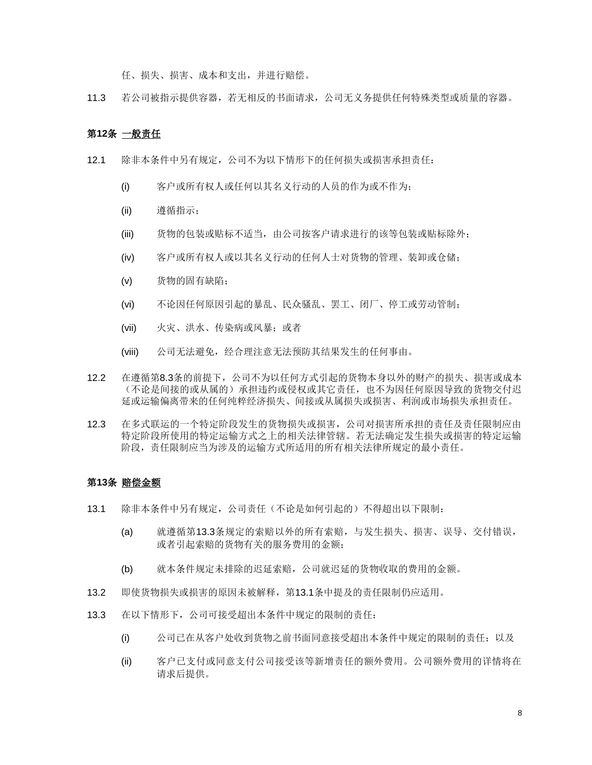任、损失、损害、成本和支出,并进行赔偿。

11.3 若公司被指示提供容器,若无相反的书面请求,公司无义务提供任何特殊类型或质量的容器。

### 第**12**条 一般责任

- 12.1 除非本条件中另有规定,公司不为以下情形下的任何损失或损害承担责任:
	- (i) 客户或所有权人或任何以其名义行动的人员的作为或不作为;
	- (ii) 遵循指示;
	- (iii) 货物的包装或贴标不适当, 由公司按客户请求进行的该等包装或贴标除外;
	- (iv) 客户或所有权人或以其名义行动的任何人士对货物的管理、装卸或仓储;
	- (v) 货物的固有缺陷;
	- (vi) 不论因任何原因引起的暴乱、民众骚乱、罢工、闭厂、停工或劳动管制;
	- (vii) 火灾、洪水、传染病或风暴;或者
	- (viii) 公司无法避免, 经合理注意无法预防其结果发生的任何事由。
- 12.2 在遵循第[8.3](#page-17-1)条的前提下,公司不为以任何方式引起的货物本身以外的财产的损失、损害或成本 (不论是间接的或从属的)承担违约或侵权或其它责任,也不为因任何原因导致的货物交付迟 延或运输偏离带来的任何纯粹经济损失、间接或从属损失或损害、利润或市场损失承担责任。
- 12.3 在多式联运的一个特定阶段发生的货物损失或损害,公司对损害所承担的责任及责任限制应由 特定阶段所使用的特定运输方式之上的相关法律管辖。若无法确定发生损失或损害的特定运输 阶段,责任限制应当为涉及的运输方式所适用的所有相关法律所规定的最小责任。

#### 第**13**条 赔偿金额

- <span id="page-21-1"></span>13.1 除非本条件中另有规定,公司责任(不论是如何引起的)不得超出以下限制:
	- (a) 就遵循第[13.3](#page-21-0)条规定的索赔以外的所有索赔,与发生损失、损害、误导、交付错误, 或者引起索赔的货物有关的服务费用的金额;
	- (b) 就本条件规定未排除的迟延索赔,公司就迟延的货物收取的费用的金额。
- 13.2 即使货物损失或损害的原因未被解释,第[13.1](#page-21-1)条中提及的责任限制仍应适用。
- <span id="page-21-0"></span>13.3 在以下情形下,公司可接受超出本条件中规定的限制的责任:
	- (i) 公司已在从客户处收到货物之前书面同意接受超出本条件中规定的限制的责任;以及
	- (ii) 客户已支付或同意支付公司接受该等新增责任的额外费用。公司额外费用的详情将在 请求后提供。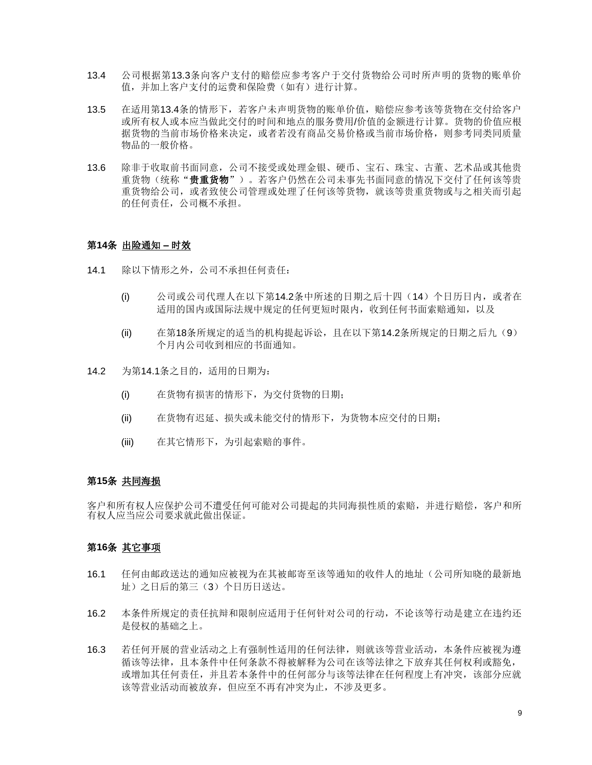- <span id="page-22-0"></span>13.4 公司根据第[13.3](#page-21-0)条向客户支付的赔偿应参考客户于交付货物给公司时所声明的货物的账单价 值,并加上客户支付的运费和保险费(如有)进行计算。
- 13.5 在适用第[13.4](#page-22-0)条的情形下,若客户未声明货物的账单价值,赔偿应参考该等货物在交付给客户 或所有权人或本应当做此交付的时间和地点的服务费用/价值的金额进行计算。货物的价值应根 据货物的当前市场价格来决定,或者若没有商品交易价格或当前市场价格,则参考同类同质量 物品的一般价格。
- 13.6 除非于收取前书面同意,公司不接受或处理金银、硬币、宝石、珠宝、古董、艺术品或其他贵 重货物(统称"**贵重货物**")。若客户仍然在公司未事先书面同意的情况下交付了任何该等贵 重货物给公司,或者致使公司管理或处理了任何该等货物,就该等贵重货物或与之相关而引起 的任何责任,公司概不承担。

## 第**14**条 出险通知 **–** 时效

- <span id="page-22-2"></span>14.1 除以下情形之外,公司不承担任何责任:
	- (i) 公司或公司代理人在以下第[14.2](#page-22-1)条中所述的日期之后十四(14)个日历日内,或者在 适用的国内或国际法规中规定的任何更短时限内,收到任何书面索赔通知,以及
	- (ii) 在第18[条所](#page-23-2)规定的适当的机构提起诉讼,且在以下第[14.2](#page-22-1)条所规定的日期之后九(9) 个月内公司收到相应的书面通知。
- <span id="page-22-1"></span>14.2 为第[14.1](#page-22-2)条之目的,适用的日期为:
	- (i) 在货物有损害的情形下,为交付货物的日期;
	- (ii) 在货物有迟延、损失或未能交付的情形下,为货物本应交付的日期;
	- (iii) 在其它情形下,为引起索赔的事件。

## 第**15**条 共同海损

客户和所有权人应保护公司不遭受任何可能对公司提起的共同海损性质的索赔,并进行赔偿,客户和所 有权人应当应公司要求就此做出保证。

# 第**16**条 其它事项

- 16.1 任何由邮政送达的通知应被视为在其被邮寄至该等通知的收件人的地址(公司所知晓的最新地 址)之日后的第三(3)个日历日送达。
- 16.2 本条件所规定的责任抗辩和限制应适用于任何针对公司的行动,不论该等行动是建立在违约还 是侵权的基础之上。
- 16.3 若任何开展的营业活动之上有强制性适用的任何法律,则就该等营业活动,本条件应被视为遵 循该等法律,且本条件中任何条款不得被解释为公司在该等法律之下放弃其任何权利或豁免, 或增加其任何责任,并且若本条件中的任何部分与该等法律在任何程度上有冲突,该部分应就 该等营业活动而被放弃,但应至不再有冲突为止,不涉及更多。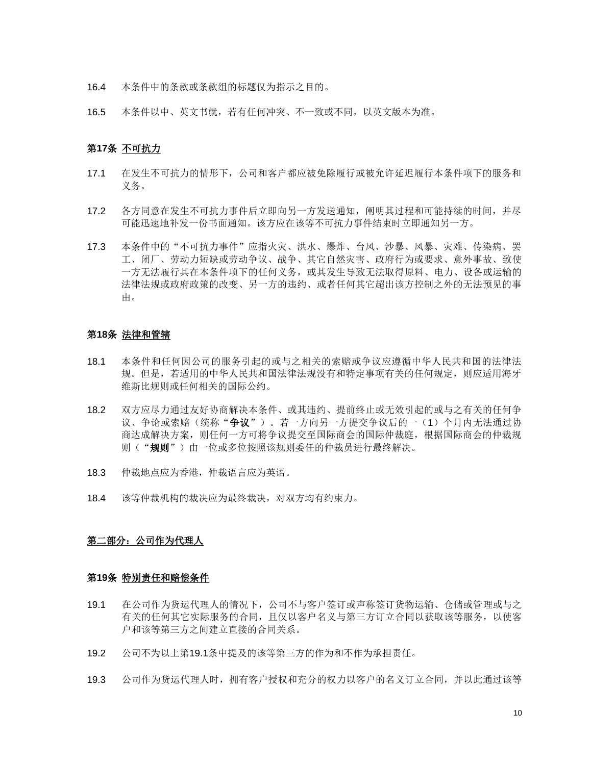- 16.4 本条件中的条款或条款组的标题仅为指示之目的。
- 16.5 本条件以中、英文书就,若有任何冲突、不一致或不同,以英文版本为准。

## 第**17**条 不可抗力

- 17.1 在发生不可抗力的情形下,公司和客户都应被免除履行或被允许延迟履行本条件项下的服务和 义务。
- 17.2 各方同意在发生不可抗力事件后立即向另一方发送通知,阐明其过程和可能持续的时间,并尽 可能迅速地补发一份书面通知。该方应在该等不可抗力事件结束时立即通知另一方。
- 17.3 本条件中的"不可抗力事件"应指火灾、洪水、爆炸、台风、沙暴、风暴、灾难、传染病、罢 工、闭厂、劳动力短缺或劳动争议、战争、其它自然灾害、政府行为或要求、意外事故、致使 一方无法履行其在本条件项下的任何义务,或其发生导致无法取得原料、电力、设备或运输的 法律法规或政府政策的改变、另一方的违约、或者任何其它超出该方控制之外的无法预见的事 由。

# <span id="page-23-2"></span>第**18**条 法律和管辖

- 18.1 本条件和任何因公司的服务引起的或与之相关的索赔或争议应遵循中华人民共和国的法律法 规。但是,若适用的中华人民共和国法律法规没有和特定事项有关的任何规定,则应适用海牙 维斯比规则或任何相关的国际公约。
- 18.2 双方应尽力通过友好协商解决本条件、或其违约、提前终止或无效引起的或与之有关的任何争 议、争论或索赔(统称"争议")。若一方向另一方提交争议后的一(1)个月内无法通过协 商达成解决方案,则任何一方可将争议提交至国际商会的国际仲裁庭,根据国际商会的仲裁规 则("规则")由一位或多位按照该规则委任的仲裁员进行最终解决。
- 18.3 仲裁地点应为香港,仲裁语言应为英语。
- 18.4 该等仲裁机构的裁决应为最终裁决,对双方均有约束力。

## 第二部分: 公司作为代理人

#### <span id="page-23-1"></span>第**19**条 特别责任和赔偿条件

- <span id="page-23-0"></span>19.1 在公司作为货运代理人的情况下,公司不与客户签订或声称签订货物运输、仓储或管理或与之 有关的任何其它实际服务的合同,且仅以客户名义与第三方订立合同以获取该等服务,以使客 户和该等第三方之间建立直接的合同关系。
- 19.2 公司不为以上第[19.1](#page-23-0)条中提及的该等第三方的作为和不作为承担责任。
- 19.3 公司作为货运代理人时,拥有客户授权和充分的权力以客户的名义订立合同,并以此通过该等